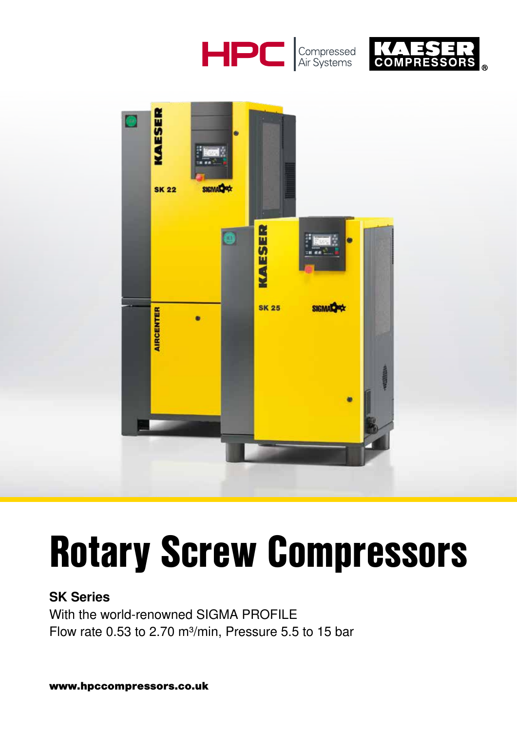





# Rotary Screw Compressors

### SK Series

With the world-renowned SIGMA PROFILE Flow rate 0.53 to 2.70 m<sup>3</sup>/min, Pressure 5.5 to 15 bar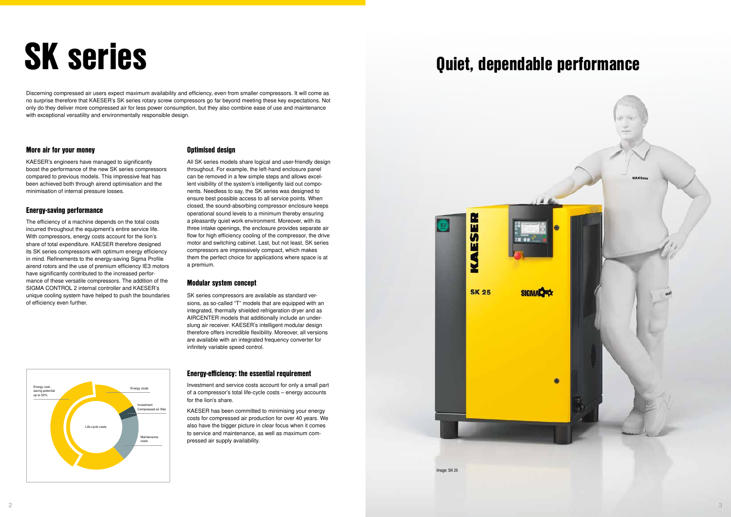

### More air for your money

KAESER's engineers have managed to significantly boost the performance of the new SK series compressors compared to previous models. This impressive feat has been achieved both through airend optimisation and the minimisation of internal pressure losses.

### Energy-saving performance

The efficiency of a machine depends on the total costs incurred throughout the equipment's entire service life. With compressors, energy costs account for the lion's share of total expenditure. KAESER therefore designed its SK series compressors with optimum energy efficiency in mind. Refinements to the energy-saving Sigma Profile airend rotors and the use of premium efficiency IE3 motors have significantly contributed to the increased performance of these versatile compressors. The addition of the SIGMA CONTROL 2 internal controller and KAESER's unique cooling system have helped to push the boundaries of efficiency even further.

#### Optimised design

All SK series models share logical and user-friendly design throughout. For example, the left-hand enclosure panel can be removed in a few simple steps and allows excellent visibility of the system's intelligently laid out components. Needless to say, the SK series was designed to ensure best possible access to all service points. When closed, the sound-absorbing compressor enclosure keeps operational sound levels to a minimum thereby ensuring a pleasantly quiet work environment. Moreover, with its three intake openings, the enclosure provides separate air flow for high efficiency cooling of the compressor, the drive motor and switching cabinet. Last, but not least, SK series compressors are impressively compact, which makes them the perfect choice for applications where space is at a premium.

#### Modular system concept

SK series compressors are available as standard versions, as so-called "T" models that are equipped with an integrated, thermally shielded refrigeration dryer and as AIRCENTER models that additionally include an underslung air receiver. KAESER's intelligent modular design therefore offers incredible flexibility. Moreover, all versions are available with an integrated frequency converter for infinitely variable speed control.

# SK series quiet, dependable performance

Discerning compressed air users expect maximum availability and efficiency, even from smaller compressors. It will come as no surprise therefore that KAESER's SK series rotary screw compressors go far beyond meeting these key expectations. Not only do they deliver more compressed air for less power consumption, but they also combine ease of use and maintenance with exceptional versatility and environmentally responsible design.

### Energy-efficiency: the essential requirement

Investment and service costs account for only a small part of a compressor's total life-cycle costs – energy accounts for the lion's share.

KAESER has been committed to minimising your energy costs for compressed air production for over 40 years. We also have the bigger picture in clear focus when it comes to service and maintenance, as well as maximum compressed air supply availability.



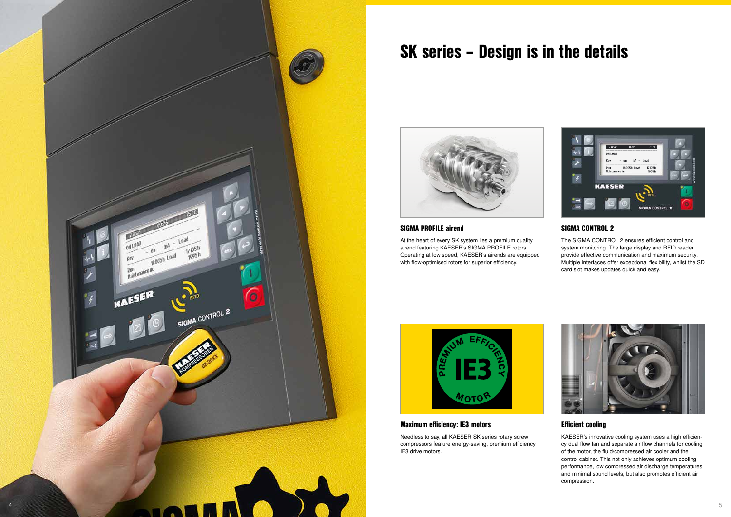### SIGMA PROFILE airend

At the heart of every SK system lies a premium quality airend featuring KAESER's SIGMA PROFILE rotors. Operating at low speed, KAESER's airends are equipped with flow-optimised rotors for superior efficiency.



### Efficient cooling

Needless to say, all KAESER SK series rotary screw compressors feature energy-saving, premium efficiency IE3 drive motors.



KAESER's innovative cooling system uses a high efficiency dual flow fan and separate air flow channels for cooling of the motor, the fluid/compressed air cooler and the control cabinet. This not only achieves optimum cooling performance, low compressed air discharge temperatures and minimal sound levels, but also promotes efficient air compression.

### Maximum efficiency: IE3 motors

### SIGMA CONTROL 2

The SIGMA CONTROL 2 ensures efficient control and system monitoring. The large display and RFID reader provide effective communication and maximum security. Multiple interfaces offer exceptional flexibility, whilst the SD card slot makes updates quick and easy.



## SK series – Design is in the details



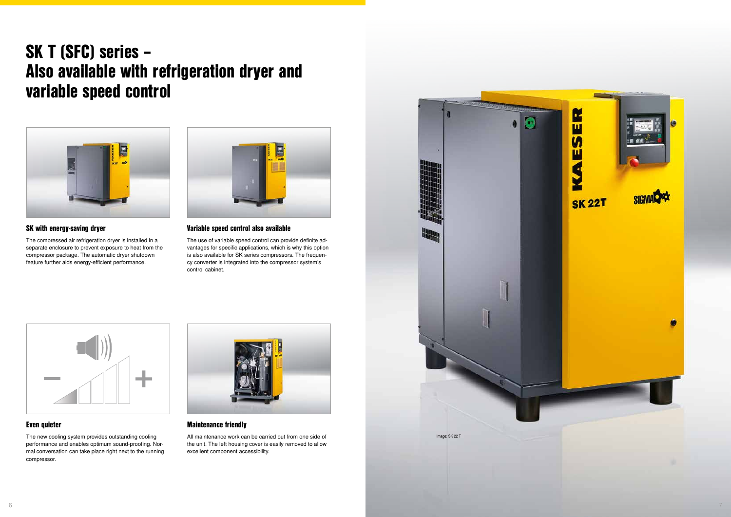### SK with energy-saving dryer

The compressed air refrigeration dryer is installed in a separate enclosure to prevent exposure to heat from the compressor package. The automatic dryer shutdown feature further aids energy-efficient performance.



### Maintenance friendly

All maintenance work can be carried out from one side of the unit. The left housing cover is easily removed to allow excellent component accessibility.

### Even quieter

The new cooling system provides outstanding cooling performance and enables optimum sound-proofing. Normal conversation can take place right next to the running compressor.



### Variable speed control also available

The use of variable speed control can provide definite advantages for specific applications, which is why this option is also available for SK series compressors. The frequency converter is integrated into the compressor system's control cabinet.



### SK T (SFC) series – Also available with refrigeration dryer and variable speed control



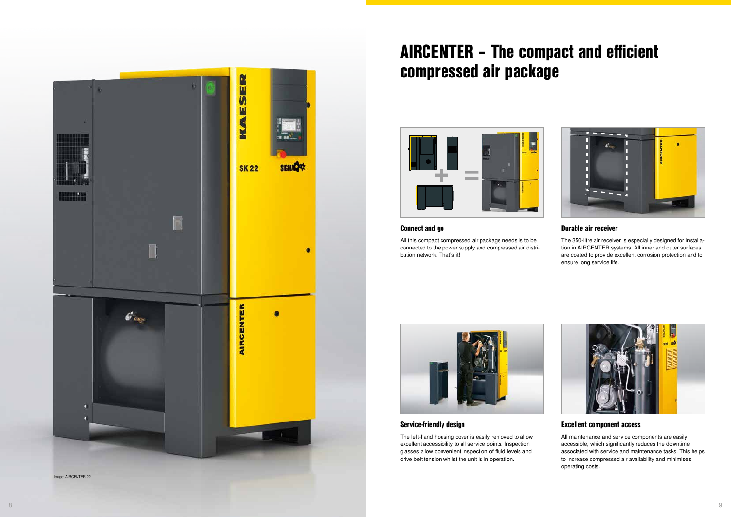### Connect and go

All this compact compressed air package needs is to be connected to the power supply and compressed air distribution network. That's it!



### Excellent component access

All maintenance and service components are easily accessible, which significantly reduces the downtime associated with service and maintenance tasks. This helps to increase compressed air availability and minimises operating costs.

### Service-friendly design

The left-hand housing cover is easily removed to allow excellent accessibility to all service points. Inspection glasses allow convenient inspection of fluid levels and drive belt tension whilst the unit is in operation.



### Durable air receiver

The 350-litre air receiver is especially designed for installation in AIRCENTER systems. All inner and outer surfaces are coated to provide excellent corrosion protection and to ensure long service life.



### AIRCENTER – The compact and efficient compressed air package



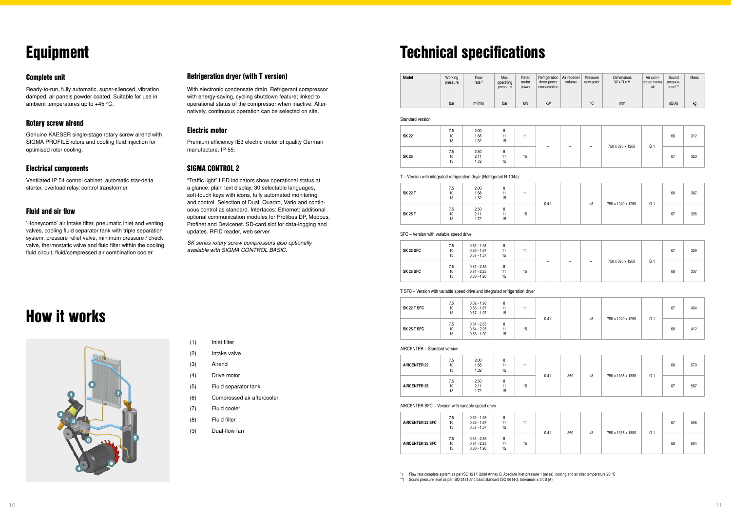| SK 22        | 7.5<br>10<br>13 | 2.00<br>1.68<br>1.32 | 15 | 11 |   |   |                          |                  | 66 | 312 |     |
|--------------|-----------------|----------------------|----|----|---|---|--------------------------|------------------|----|-----|-----|
| <b>SK 25</b> | 7.5<br>10<br>13 | 2.50<br>2.11<br>1.72 | 15 | 15 | - | - | $\overline{\phantom{0}}$ | 750 x 895 x 1260 | G. | 67  | 320 |

T – Version with integrated refrigeration dryer (Refrigerant R-134a)

| <b>SK 22 T</b> | 7.5<br>10<br>13 | 2.00<br>1.68<br>1.32 | 8<br>15 | 11 |      |                          |      |                   |                | 66 | 387 |
|----------------|-----------------|----------------------|---------|----|------|--------------------------|------|-------------------|----------------|----|-----|
| <b>SK 25 T</b> | 7.5<br>10<br>13 | 2.50<br>2.11<br>1.72 | 8<br>15 | 15 | 0.41 | $\overline{\phantom{0}}$ | $+3$ | 750 x 1240 x 1260 | G <sub>1</sub> | 67 | 395 |

SFC – Version with variable speed drive

| SK 22 T SFC | 7.5<br>10<br>13 | $0.62 - 1.98$<br>$0.63 - 1.67$<br>$0.57 - 1.37$ | 8<br>11<br>15 | 11 | 0.41 | - | $+3$ |                   | G. | 67 | 404 |
|-------------|-----------------|-------------------------------------------------|---------------|----|------|---|------|-------------------|----|----|-----|
| SK 25 T SFC | 7.5<br>10<br>13 | $0.81 - 2.55$<br>$0.84 - 2.25$<br>$0.83 - 1.90$ | 8<br>11<br>15 | 15 |      |   |      | 750 x 1240 x 1260 |    | 68 | 412 |

AIRCENTER - Standard version

| SK 22 SFC        | 7.5<br>10<br>13 | $0.62 - 1.98$<br>$0.63 - 1.67$<br>$0.57 - 1.37$ | 8<br>11<br>15 | 11 |  |   |                  |                | 67 | 329 |
|------------------|-----------------|-------------------------------------------------|---------------|----|--|---|------------------|----------------|----|-----|
| <b>SK 25 SFC</b> | 7.5<br>10<br>13 | $0.81 - 2.55$<br>$0.84 - 2.25$<br>$0.83 - 1.90$ | 8<br>11<br>15 | 15 |  | - | 750 x 895 x 1260 | G <sub>1</sub> | 68 | 337 |

#### T SFC – Version with variable speed drive and integrated refrigeration dryer

\*) Flow rate complete system as per ISO 1217: 2009 Annex C: Absolute inlet pressure 1 bar (a), cooling and air inlet temperature 20 °C \*\*) Sound pressure level as per ISO 2151 and basic standard ISO 9614-2, tolerance:  $\pm$  3 dB (A)

| <b>AIRCENTER 22</b> | 7.5<br>10<br>13 | 2.00<br>1.68<br>1.32 | 15 | 11 |      |     |      |                   |                | 66 | 579 |
|---------------------|-----------------|----------------------|----|----|------|-----|------|-------------------|----------------|----|-----|
| <b>AIRCENTER 25</b> | 7.5<br>10<br>13 | 2.50<br>2.11<br>1.72 | 15 | 15 | 0.41 | 350 | $+3$ | 750 x 1335 x 1880 | G <sub>1</sub> | 67 | 587 |

#### AIRCENTER SFC – Version with variable speed drive

| <b>AIRCENTER 22 SFC</b> | $0.62 - 1.98$<br>7.5<br>$0.63 - 1.67$<br>10<br>$0.57 - 1.37$<br>13 | 8<br>15                                         |         |    |      |     |      |                   | 67             | 596 |     |
|-------------------------|--------------------------------------------------------------------|-------------------------------------------------|---------|----|------|-----|------|-------------------|----------------|-----|-----|
| <b>AIRCENTER 25 SFC</b> | 7.5<br>10<br>13                                                    | $0.81 - 2.55$<br>$0.84 - 2.25$<br>$0.83 - 1.90$ | 8<br>15 | 15 | 0.41 | 350 | $+3$ | 750 x 1335 x 1880 | G <sub>1</sub> | 68  | 604 |

| <b>Model</b> | Working<br>pressure | Flow<br>rate <sup>"</sup> | Max.<br>operating<br>pressure | Rated<br>motor<br>power | Refrigeration<br>dryer power<br>consumption | Air receiver<br>volume | Pressure<br>dew point | <b>Dimensions</b><br>WxDxH | Air conn-<br>ection comp.<br>air | Sound<br>pressure<br>$level$ " | Mass |
|--------------|---------------------|---------------------------|-------------------------------|-------------------------|---------------------------------------------|------------------------|-----------------------|----------------------------|----------------------------------|--------------------------------|------|
|              | bar                 | m <sup>3</sup> /min       | bar                           | kW                      | kW                                          |                        | $\circ$               | mm                         |                                  | dB(A)                          | kg   |

Standard version

### Technical specifications

### Equipment

### Complete unit

Ready-to-run, fully automatic, super-silenced, vibration damped, all panels powder coated. Suitable for use in ambient temperatures up to +45°C.

### Rotary screw airend

Genuine KAESER single-stage rotary screw airend with SIGMA PROFILE rotors and cooling fluid injection for optimised rotor cooling.

### Electrical components

Ventilated IP 54 control cabinet, automatic star-delta starter, overload relay, control transformer.

### Fluid and air flow

'Honeycomb' air intake filter, pneumatic inlet and venting valves, cooling fluid separator tank with triple separation system, pressure relief valve, minimum pressure / check valve, thermostatic valve and fluid filter within the cooling fluid circuit, fluid/compressed air combination cooler.

### Refrigeration dryer (with T version)

With electronic condensate drain. Refrigerant compressor with energy-saving, cycling shutdown feature; linked to operational status of the compressor when inactive. Alternatively, continuous operation can be selected on site.

### Electric motor

Premium efficiency IE3 electric motor of quality German manufacture, IP 55.

### SIGMA CONTROL 2

"Traffic light" LED indicators show operational status at a glance, plain text display, 30 selectable languages, soft-touch keys with icons, fully automated monitoring and control. Selection of Dual, Quadro, Vario and continuous control as standard. Interfaces: Ethernet; additional optional communication modules for Profibus DP, Modbus, Profinet and Devicenet. SD-card slot for data-logging and updates. RFID reader, web server.

*SK series rotary screw compressors also optionally available with SIGMA CONTROL BASIC.*

(1) Inlet filter

(2) Intake valve

(3) Airend

(4) Drive motor

- (5) Fluid separator tank
- (6) Compressed air aftercooler
- (7) Fluid cooler
- (8) Fluid filter
- (9) Dual-flow fan

### How it works

![](_page_5_Picture_17.jpeg)